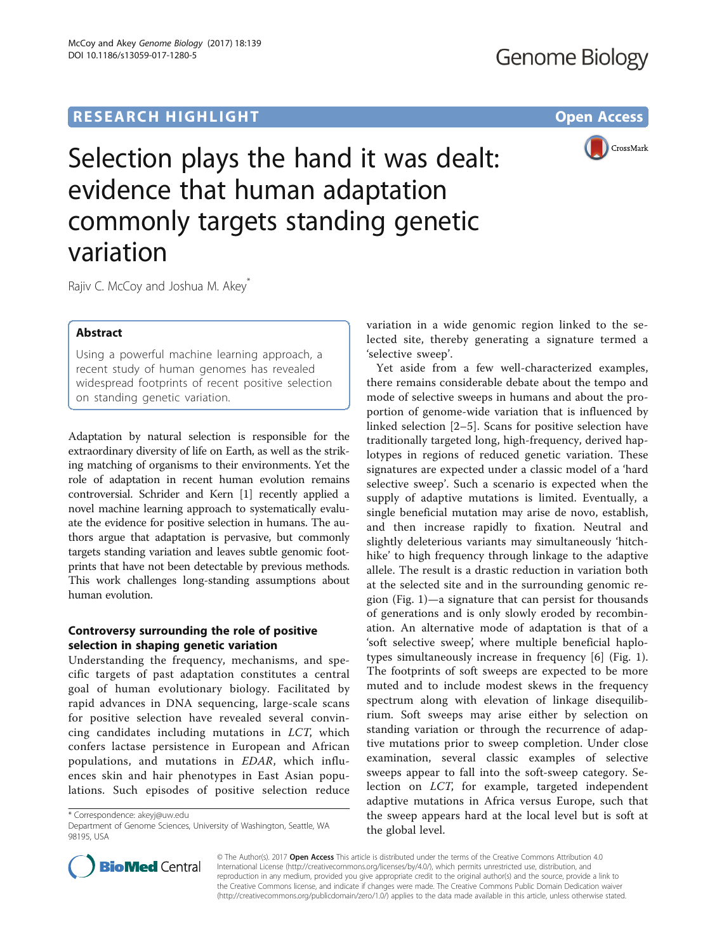# **RESEARCH HIGHLIGHT** THE OPEN ACCESS OPEN ACCESS



# Selection plays the hand it was dealt: evidence that human adaptation commonly targets standing genetic variation

Rajiv C. McCoy and Joshua M. Akey<sup>\*</sup>

# Abstract

Using a powerful machine learning approach, a recent study of human genomes has revealed widespread footprints of recent positive selection on standing genetic variation.

Adaptation by natural selection is responsible for the extraordinary diversity of life on Earth, as well as the striking matching of organisms to their environments. Yet the role of adaptation in recent human evolution remains controversial. Schrider and Kern [\[1](#page-3-0)] recently applied a novel machine learning approach to systematically evaluate the evidence for positive selection in humans. The authors argue that adaptation is pervasive, but commonly targets standing variation and leaves subtle genomic footprints that have not been detectable by previous methods. This work challenges long-standing assumptions about human evolution.

### Controversy surrounding the role of positive selection in shaping genetic variation

Understanding the frequency, mechanisms, and specific targets of past adaptation constitutes a central goal of human evolutionary biology. Facilitated by rapid advances in DNA sequencing, large-scale scans for positive selection have revealed several convincing candidates including mutations in LCT, which confers lactase persistence in European and African populations, and mutations in EDAR, which influences skin and hair phenotypes in East Asian populations. Such episodes of positive selection reduce

\* Correspondence: [akeyj@uw.edu](mailto:akeyj@uw.edu)

variation in a wide genomic region linked to the selected site, thereby generating a signature termed a 'selective sweep'.

Yet aside from a few well-characterized examples, there remains considerable debate about the tempo and mode of selective sweeps in humans and about the proportion of genome-wide variation that is influenced by linked selection [[2](#page-3-0)–[5](#page-3-0)]. Scans for positive selection have traditionally targeted long, high-frequency, derived haplotypes in regions of reduced genetic variation. These signatures are expected under a classic model of a 'hard selective sweep'. Such a scenario is expected when the supply of adaptive mutations is limited. Eventually, a single beneficial mutation may arise de novo, establish, and then increase rapidly to fixation. Neutral and slightly deleterious variants may simultaneously 'hitchhike' to high frequency through linkage to the adaptive allele. The result is a drastic reduction in variation both at the selected site and in the surrounding genomic region (Fig. [1](#page-1-0))—a signature that can persist for thousands of generations and is only slowly eroded by recombination. An alternative mode of adaptation is that of a 'soft selective sweep', where multiple beneficial haplotypes simultaneously increase in frequency [[6](#page-3-0)] (Fig. [1](#page-1-0)). The footprints of soft sweeps are expected to be more muted and to include modest skews in the frequency spectrum along with elevation of linkage disequilibrium. Soft sweeps may arise either by selection on standing variation or through the recurrence of adaptive mutations prior to sweep completion. Under close examination, several classic examples of selective sweeps appear to fall into the soft-sweep category. Selection on LCT, for example, targeted independent adaptive mutations in Africa versus Europe, such that the sweep appears hard at the local level but is soft at the global level.



© The Author(s). 2017 **Open Access** This article is distributed under the terms of the Creative Commons Attribution 4.0 International License [\(http://creativecommons.org/licenses/by/4.0/](http://creativecommons.org/licenses/by/4.0/)), which permits unrestricted use, distribution, and reproduction in any medium, provided you give appropriate credit to the original author(s) and the source, provide a link to the Creative Commons license, and indicate if changes were made. The Creative Commons Public Domain Dedication waiver [\(http://creativecommons.org/publicdomain/zero/1.0/](http://creativecommons.org/publicdomain/zero/1.0/)) applies to the data made available in this article, unless otherwise stated.

Department of Genome Sciences, University of Washington, Seattle, WA 98195, USA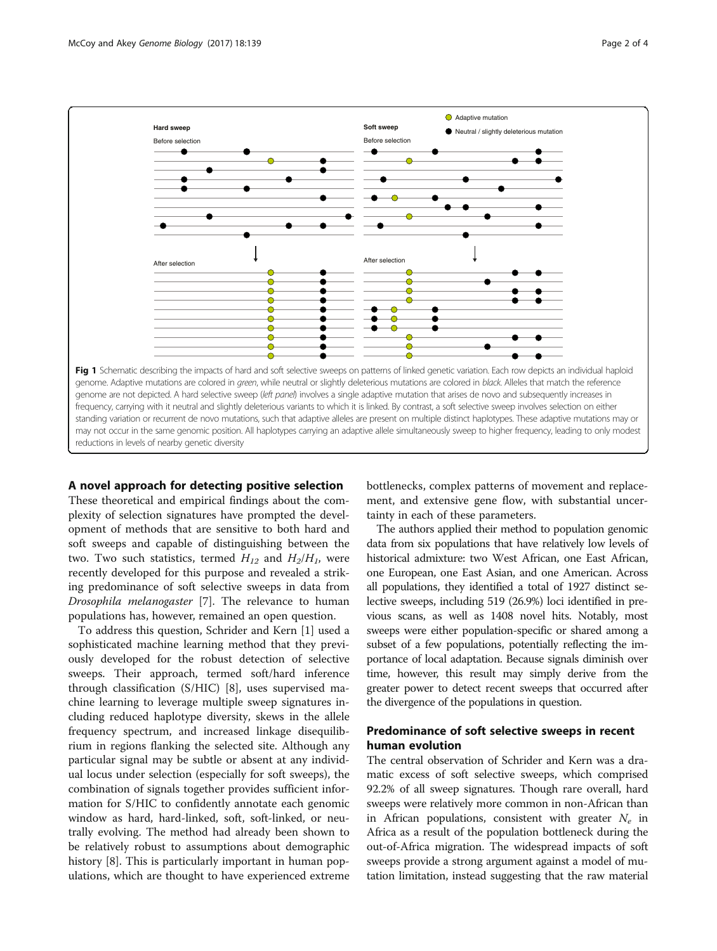<span id="page-1-0"></span>

#### A novel approach for detecting positive selection

These theoretical and empirical findings about the complexity of selection signatures have prompted the development of methods that are sensitive to both hard and soft sweeps and capable of distinguishing between the two. Two such statistics, termed  $H_{12}$  and  $H_2/H_1$ , were recently developed for this purpose and revealed a striking predominance of soft selective sweeps in data from Drosophila melanogaster [\[7](#page-3-0)]. The relevance to human populations has, however, remained an open question.

To address this question, Schrider and Kern [\[1](#page-3-0)] used a sophisticated machine learning method that they previously developed for the robust detection of selective sweeps. Their approach, termed soft/hard inference through classification (S/HIC) [\[8](#page-3-0)], uses supervised machine learning to leverage multiple sweep signatures including reduced haplotype diversity, skews in the allele frequency spectrum, and increased linkage disequilibrium in regions flanking the selected site. Although any particular signal may be subtle or absent at any individual locus under selection (especially for soft sweeps), the combination of signals together provides sufficient information for S/HIC to confidently annotate each genomic window as hard, hard-linked, soft, soft-linked, or neutrally evolving. The method had already been shown to be relatively robust to assumptions about demographic history [[8\]](#page-3-0). This is particularly important in human populations, which are thought to have experienced extreme bottlenecks, complex patterns of movement and replacement, and extensive gene flow, with substantial uncertainty in each of these parameters.

The authors applied their method to population genomic data from six populations that have relatively low levels of historical admixture: two West African, one East African, one European, one East Asian, and one American. Across all populations, they identified a total of 1927 distinct selective sweeps, including 519 (26.9%) loci identified in previous scans, as well as 1408 novel hits. Notably, most sweeps were either population-specific or shared among a subset of a few populations, potentially reflecting the importance of local adaptation. Because signals diminish over time, however, this result may simply derive from the greater power to detect recent sweeps that occurred after the divergence of the populations in question.

## Predominance of soft selective sweeps in recent human evolution

The central observation of Schrider and Kern was a dramatic excess of soft selective sweeps, which comprised 92.2% of all sweep signatures. Though rare overall, hard sweeps were relatively more common in non-African than in African populations, consistent with greater  $N_e$  in Africa as a result of the population bottleneck during the out-of-Africa migration. The widespread impacts of soft sweeps provide a strong argument against a model of mutation limitation, instead suggesting that the raw material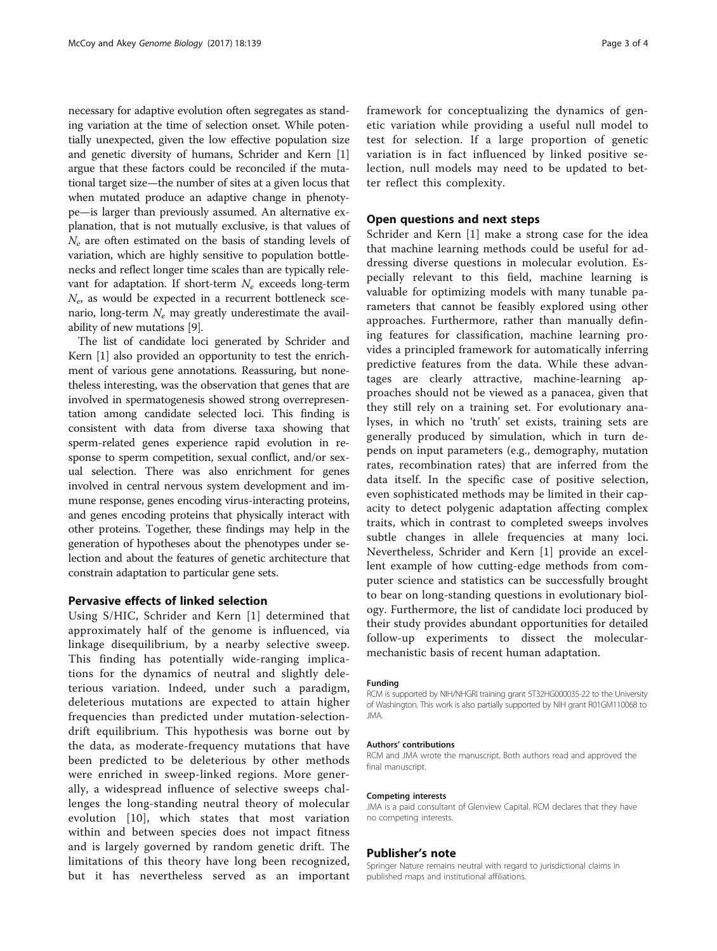necessary for adaptive evolution often segregates as standing variation at the time of selection onset. While potentially unexpected, given the low effective population size and genetic diversity of humans, Schrider and Kern [[1](#page-3-0)] argue that these factors could be reconciled if the mutational target size—the number of sites at a given locus that when mutated produce an adaptive change in phenotype—is larger than previously assumed. An alternative explanation, that is not mutually exclusive, is that values of  $N_e$  are often estimated on the basis of standing levels of variation, which are highly sensitive to population bottlenecks and reflect longer time scales than are typically relevant for adaptation. If short-term  $N_e$  exceeds long-term  $N_e$ , as would be expected in a recurrent bottleneck scenario, long-term  $N_e$  may greatly underestimate the availability of new mutations [\[9\]](#page-3-0).

The list of candidate loci generated by Schrider and Kern [\[1\]](#page-3-0) also provided an opportunity to test the enrichment of various gene annotations. Reassuring, but nonetheless interesting, was the observation that genes that are involved in spermatogenesis showed strong overrepresentation among candidate selected loci. This finding is consistent with data from diverse taxa showing that sperm-related genes experience rapid evolution in response to sperm competition, sexual conflict, and/or sexual selection. There was also enrichment for genes involved in central nervous system development and immune response, genes encoding virus-interacting proteins, and genes encoding proteins that physically interact with other proteins. Together, these findings may help in the generation of hypotheses about the phenotypes under selection and about the features of genetic architecture that constrain adaptation to particular gene sets.

#### Pervasive effects of linked selection

Using S/HIC, Schrider and Kern [\[1](#page-3-0)] determined that approximately half of the genome is influenced, via linkage disequilibrium, by a nearby selective sweep. This finding has potentially wide-ranging implications for the dynamics of neutral and slightly deleterious variation. Indeed, under such a paradigm, deleterious mutations are expected to attain higher frequencies than predicted under mutation-selectiondrift equilibrium. This hypothesis was borne out by the data, as moderate-frequency mutations that have been predicted to be deleterious by other methods were enriched in sweep-linked regions. More generally, a widespread influence of selective sweeps challenges the long-standing neutral theory of molecular evolution [\[10\]](#page-3-0), which states that most variation within and between species does not impact fitness and is largely governed by random genetic drift. The limitations of this theory have long been recognized, but it has nevertheless served as an important framework for conceptualizing the dynamics of genetic variation while providing a useful null model to test for selection. If a large proportion of genetic variation is in fact influenced by linked positive selection, null models may need to be updated to better reflect this complexity.

#### Open questions and next steps

Schrider and Kern [\[1](#page-3-0)] make a strong case for the idea that machine learning methods could be useful for addressing diverse questions in molecular evolution. Especially relevant to this field, machine learning is valuable for optimizing models with many tunable parameters that cannot be feasibly explored using other approaches. Furthermore, rather than manually defining features for classification, machine learning provides a principled framework for automatically inferring predictive features from the data. While these advantages are clearly attractive, machine-learning approaches should not be viewed as a panacea, given that they still rely on a training set. For evolutionary analyses, in which no 'truth' set exists, training sets are generally produced by simulation, which in turn depends on input parameters (e.g., demography, mutation rates, recombination rates) that are inferred from the data itself. In the specific case of positive selection, even sophisticated methods may be limited in their capacity to detect polygenic adaptation affecting complex traits, which in contrast to completed sweeps involves subtle changes in allele frequencies at many loci. Nevertheless, Schrider and Kern [[1\]](#page-3-0) provide an excellent example of how cutting-edge methods from computer science and statistics can be successfully brought to bear on long-standing questions in evolutionary biology. Furthermore, the list of candidate loci produced by their study provides abundant opportunities for detailed follow-up experiments to dissect the molecularmechanistic basis of recent human adaptation.

#### Funding

RCM is supported by NIH/NHGRI training grant 5T32HG000035-22 to the University of Washington. This work is also partially supported by NIH grant R01GM110068 to **JMA** 

#### Authors' contributions

RCM and JMA wrote the manuscript. Both authors read and approved the final manuscript.

#### Competing interests

JMA is a paid consultant of Glenview Capital. RCM declares that they have no competing interests.

#### Publisher's note

Springer Nature remains neutral with regard to jurisdictional claims in published maps and institutional affiliations.